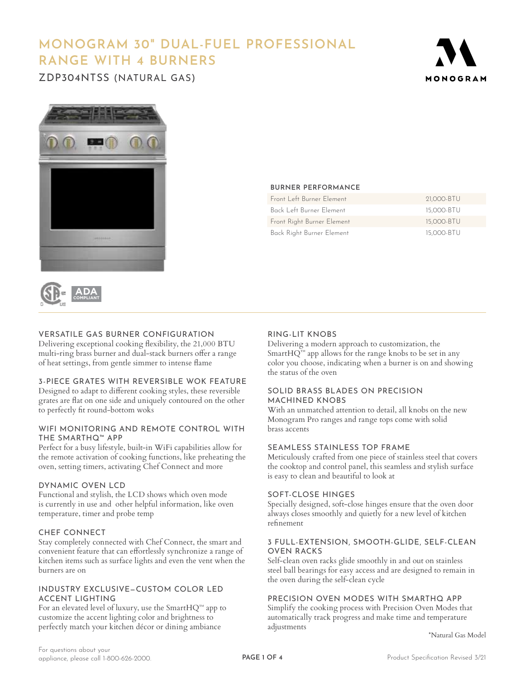# **MONOGRAM 30" DUAL-FUEL PROFESSIONAL RANGE WITH 4 BURNERS**

ZDP304NTSS (NATURAL GAS)







# VERSATILE GAS BURNER CONFIGURATION

Delivering exceptional cooking flexibility, the 21,000 BTU multi-ring brass burner and dual-stack burners offer a range of heat settings, from gentle simmer to intense flame

# 3-PIECE GRATES WITH REVERSIBLE WOK FEATURE

Designed to adapt to different cooking styles, these reversible grates are flat on one side and uniquely contoured on the other to perfectly fit round-bottom woks

## WIFI MONITORING AND REMOTE CONTROL WITH THE SMARTHQ™ APP

Perfect for a busy lifestyle, built-in WiFi capabilities allow for the remote activation of cooking functions, like preheating the oven, setting timers, activating Chef Connect and more

# DYNAMIC OVEN LCD

Functional and stylish, the LCD shows which oven mode is currently in use and other helpful information, like oven temperature, timer and probe temp

# CHEF CONNECT

Stay completely connected with Chef Connect, the smart and convenient feature that can effortlessly synchronize a range of kitchen items such as surface lights and even the vent when the burners are on

# INDUSTRY EXCLUSIVE—CUSTOM COLOR LED ACCENT LIGHTING

For an elevated level of luxury, use the SmartHQ™ app to customize the accent lighting color and brightness to perfectly match your kitchen décor or dining ambiance

## **BURNER PERFORMANCE**

| Front Left Burner Flement  | 21,000-BTU |
|----------------------------|------------|
| Back Left Burner Flement   | 15,000-BTU |
| Front Right Burner Element | 15,000-BTU |
| Back Right Burner Element  | 15,000-BTU |

# RING-LIT KNOBS

Delivering a modern approach to customization, the Smart $HQ^m$  app allows for the range knobs to be set in any color you choose, indicating when a burner is on and showing the status of the oven

# SOLID BRASS BLADES ON PRECISION MACHINED KNOBS

With an unmatched attention to detail, all knobs on the new Monogram Pro ranges and range tops come with solid brass accents

# SEAMLESS STAINLESS TOP FRAME

Meticulously crafted from one piece of stainless steel that covers the cooktop and control panel, this seamless and stylish surface is easy to clean and beautiful to look at

## SOFT-CLOSE HINGES

Specially designed, soft-close hinges ensure that the oven door always closes smoothly and quietly for a new level of kitchen refinement

## 3 FULL-EXTENSION, SMOOTH-GLIDE, SELF-CLEAN OVEN RACKS

Self-clean oven racks glide smoothly in and out on stainless steel ball bearings for easy access and are designed to remain in the oven during the self-clean cycle

# PRECISION OVEN MODES WITH SMARTHQ APP

Simplify the cooking process with Precision Oven Modes that automatically track progress and make time and temperature adjustments

\*Natural Gas Model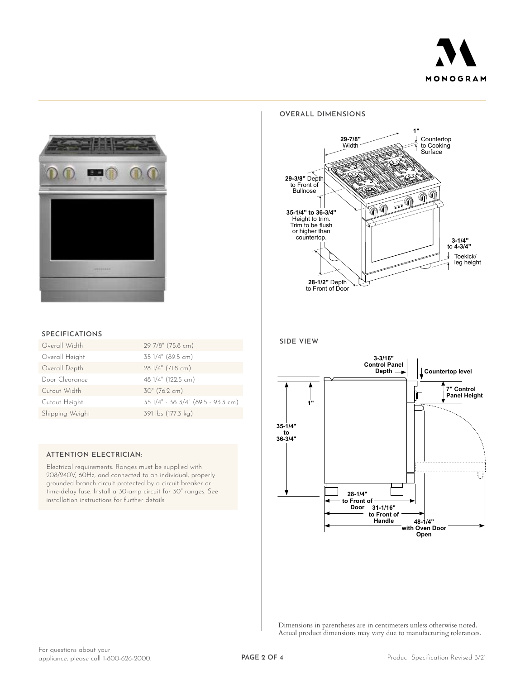



#### **OVERALL DIMENSIONS**



## **SPECIFICATIONS**

| Overall Width   | 29 7/8" (75.8 cm)                  |
|-----------------|------------------------------------|
| Overall Height  | 35 1/4" (89.5 cm)                  |
| Overall Depth   | 28 1/4" (71.8 cm)                  |
| Door Clearance  | 48 1/4" (122.5 cm)                 |
| Cutout Width    | $30''$ (76.2 cm)                   |
| Cutout Height   | 35 1/4" - 36 3/4" (89.5 - 93.3 cm) |
| Shipping Weight | 391 lbs (177.3 kg)                 |

#### **ATTENTION ELECTRICIAN:**

Electrical requirements: Ranges must be supplied with 208/240V, 60Hz, and connected to an individual, properly grounded branch circuit protected by a circuit breaker or time-delay fuse. Install a 30-amp circuit for 30" ranges. See installation instructions for further details.





Dimensions in parentheses are in centimeters unless otherwise noted. Actual product dimensions may vary due to manufacturing tolerances.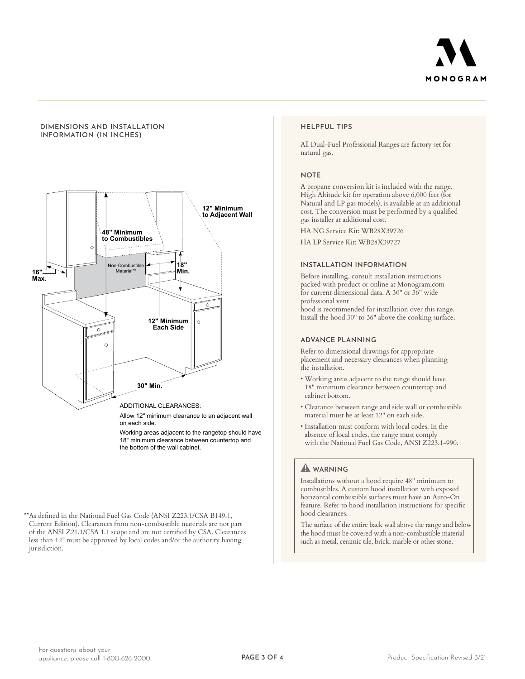

#### **DIMENSIONS AND INSTALLATION INFORMATION (IN INCHES)**



Working areas adjacent to the rangetop should have 18" minimum clearance between countertop and the bottom of the wall cabinet.

\*\*As defined in the National Fuel Gas Code (ANSI Z223.1/CSA B149.1, Current Edition). Clearances from non-combustible materials are not part of the ANSI Z21.1/CSA 1.1 scope and are not certified by CSA. Clearances less than 12" must be approved by local codes and/or the authority having jurisdiction.

#### **HELPFUL TIPS**

All Dual-Fuel Professional Ranges are factory set for natural gas.

#### **NOTE**

A propane conversion kit is included with the range. High Altitude kit for operation above 6,000 feet (for Natural and LP gas models), is available at an additional cost. The conversion must be performed by a qualified gas installer at additional cost.

HA NG Service Kit: WB28X39726

HA LP Service Kit: WB28X39727

#### **INSTALLATION INFORMATION**

Before installing, consult installation instructions packed with product or online at Monogram.com for current dimensional data. A 30" or 36" wide professional vent

hood is recommended for installation over this range. Install the hood 30" to 36" above the cooking surface.

#### **ADVANCE PLANNING**

Refer to dimensional drawings for appropriate placement and necessary clearances when planning the installation.

- Working areas adjacent to the range should have 18" minimum clearance between countertop and cabinet bottom.
- Clearance between range and side wall or combustible material must be at least 12" on each side.
- Installation must conform with local codes. In the absence of local codes, the range must comply with the National Fuel Gas Code, ANSI Z223.1-990.

# **WARNING**

Installations without a hood require 48" minimum to combustibles. A custom hood installation with exposed horizontal combustible surfaces must have an Auto-On feature. Refer to hood installation instructions for specific hood clearances.

The surface of the entire back wall above the range and below the hood must be covered with a non-combustible material such as metal, ceramic tile, brick, marble or other stone.